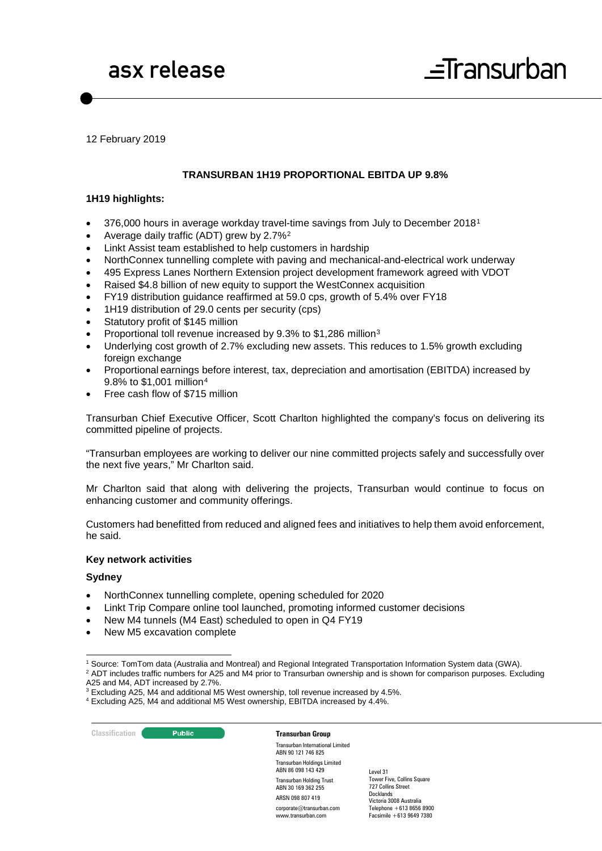

12 February 2019

#### **TRANSURBAN 1H19 PROPORTIONAL EBITDA UP 9.8%**

#### **1H19 highlights:**

- 376,000 hours in average workday travel-time savings from July to December 2018[1](#page-0-0)
- Average daily traffic (ADT) grew by 2.7%[2](#page-0-1)
- Linkt Assist team established to help customers in hardship
- NorthConnex tunnelling complete with paving and mechanical-and-electrical work underway
- 495 Express Lanes Northern Extension project development framework agreed with VDOT
- Raised \$4.8 billion of new equity to support the WestConnex acquisition
- FY19 distribution guidance reaffirmed at 59.0 cps, growth of 5.4% over FY18
- 1H19 distribution of 29.0 cents per security (cps)
- Statutory profit of \$145 million
- Proportional toll revenue increased by 9.3% to \$1,286 million[3](#page-0-2)
- Underlying cost growth of 2.7% excluding new assets. This reduces to 1.5% growth excluding foreign exchange
- Proportional earnings before interest, tax, depreciation and amortisation (EBITDA) increased by 9.8% to \$1,001 million[4](#page-0-3)
- Free cash flow of \$715 million

Transurban Chief Executive Officer, Scott Charlton highlighted the company's focus on delivering its committed pipeline of projects.

"Transurban employees are working to deliver our nine committed projects safely and successfully over the next five years," Mr Charlton said.

Mr Charlton said that along with delivering the projects, Transurban would continue to focus on enhancing customer and community offerings.

Customers had benefitted from reduced and aligned fees and initiatives to help them avoid enforcement, he said.

#### **Key network activities**

#### **Sydney**

- NorthConnex tunnelling complete, opening scheduled for 2020
- Linkt Trip Compare online tool launched, promoting informed customer decisions
- New M4 tunnels (M4 East) scheduled to open in Q4 FY19
- New M5 excavation complete

A25 and M4, ADT increased by 2.7%.

#### **Classification Constitution Transurban Group**

Transurban International Limited ABN 90 121 746 825 Transurban Holdings Limited ABN 86 098 143 429 Transurban Holding Trust ABN 30 169 362 255 ARSN 098 807 419 corporate@transurban.com

www.transurban.com

<span id="page-0-1"></span><span id="page-0-0"></span> <sup>1</sup> Source: TomTom data (Australia and Montreal) and Regional Integrated Transportation Information System data (GWA). <sup>2</sup> ADT includes traffic numbers for A25 and M4 prior to Transurban ownership and is shown for comparison purposes. Excluding

<sup>&</sup>lt;sup>3</sup> Excluding A25, M4 and additional M5 West ownership, toll revenue increased by 4.5%.

<span id="page-0-3"></span><span id="page-0-2"></span><sup>4</sup> Excluding A25, M4 and additional M5 West ownership, EBITDA increased by 4.4%.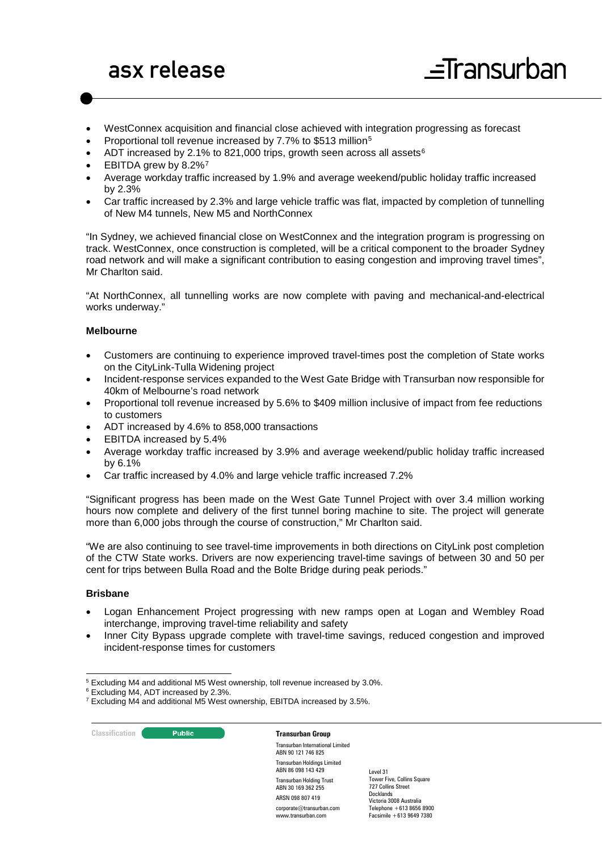- WestConnex acquisition and financial close achieved with integration progressing as forecast
- Proportional toll revenue increased by 7.7% to \$513 million[5](#page-1-0)
- ADT increased by 2.1% to 821,000 trips, growth seen across all assets<sup>[6](#page-1-1)</sup>
- EBITDA grew by 8.2%[7](#page-1-2)
- Average workday traffic increased by 1.9% and average weekend/public holiday traffic increased by 2.3%
- Car traffic increased by 2.3% and large vehicle traffic was flat, impacted by completion of tunnelling of New M4 tunnels, New M5 and NorthConnex

"In Sydney, we achieved financial close on WestConnex and the integration program is progressing on track. WestConnex, once construction is completed, will be a critical component to the broader Sydney road network and will make a significant contribution to easing congestion and improving travel times", Mr Charlton said.

"At NorthConnex, all tunnelling works are now complete with paving and mechanical-and-electrical works underway."

#### **Melbourne**

- Customers are continuing to experience improved travel-times post the completion of State works on the CityLink-Tulla Widening project
- Incident-response services expanded to the West Gate Bridge with Transurban now responsible for 40km of Melbourne's road network
- Proportional toll revenue increased by 5.6% to \$409 million inclusive of impact from fee reductions to customers
- ADT increased by 4.6% to 858,000 transactions
- EBITDA increased by 5.4%
- Average workday traffic increased by 3.9% and average weekend/public holiday traffic increased by 6.1%
- Car traffic increased by 4.0% and large vehicle traffic increased 7.2%

"Significant progress has been made on the West Gate Tunnel Project with over 3.4 million working hours now complete and delivery of the first tunnel boring machine to site. The project will generate more than 6,000 jobs through the course of construction," Mr Charlton said.

"We are also continuing to see travel-time improvements in both directions on CityLink post completion of the CTW State works. Drivers are now experiencing travel-time savings of between 30 and 50 per cent for trips between Bulla Road and the Bolte Bridge during peak periods."

#### **Brisbane**

- Logan Enhancement Project progressing with new ramps open at Logan and Wembley Road interchange, improving travel-time reliability and safety
- Inner City Bypass upgrade complete with travel-time savings, reduced congestion and improved incident-response times for customers

<span id="page-1-1"></span><span id="page-1-0"></span>5 Excluding M4 and additional M5 West ownership, toll revenue increased by 3.0%.

**Classification C Transurban Group** 

Transurban International Limited ABN 90 121 746 825 Transurban Holdings Limited ABN 86 098 143 429 Transurban Holding Trust ABN 30 169 362 255 ARSN 098 807 419 corporate@transurban.com www.transurban.com

<span id="page-1-2"></span><sup>6</sup> Excluding M4, ADT increased by 2.3%.

<sup>&</sup>lt;sup>7</sup> Excluding M4 and additional M5 West ownership, EBITDA increased by 3.5%.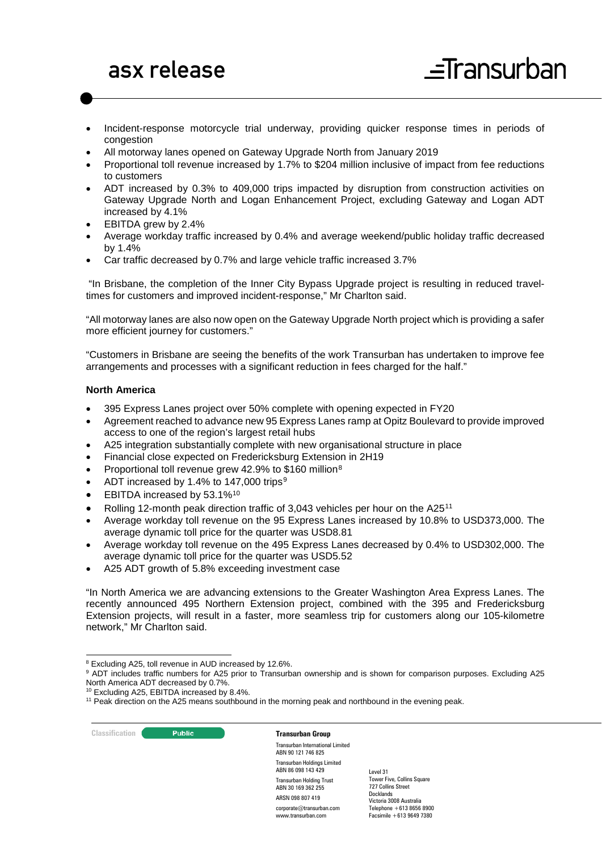- Incident-response motorcycle trial underway, providing quicker response times in periods of congestion
- All motorway lanes opened on Gateway Upgrade North from January 2019
- Proportional toll revenue increased by 1.7% to \$204 million inclusive of impact from fee reductions to customers
- ADT increased by 0.3% to 409,000 trips impacted by disruption from construction activities on Gateway Upgrade North and Logan Enhancement Project, excluding Gateway and Logan ADT increased by 4.1%
- EBITDA grew by 2.4%
- Average workday traffic increased by 0.4% and average weekend/public holiday traffic decreased by 1.4%
- Car traffic decreased by 0.7% and large vehicle traffic increased 3.7%

"In Brisbane, the completion of the Inner City Bypass Upgrade project is resulting in reduced traveltimes for customers and improved incident-response," Mr Charlton said.

"All motorway lanes are also now open on the Gateway Upgrade North project which is providing a safer more efficient journey for customers."

"Customers in Brisbane are seeing the benefits of the work Transurban has undertaken to improve fee arrangements and processes with a significant reduction in fees charged for the half."

#### **North America**

- 395 Express Lanes project over 50% complete with opening expected in FY20
- Agreement reached to advance new 95 Express Lanes ramp at Opitz Boulevard to provide improved access to one of the region's largest retail hubs
- A25 integration substantially complete with new organisational structure in place
- Financial close expected on Fredericksburg Extension in 2H19
- Proportional toll revenue grew 42.9% to \$160 million<sup>[8](#page-2-0)</sup>
- ADT increased by 1.4% to 147,000 trips<sup>[9](#page-2-1)</sup>
- EBITDA increased by 53.1%<sup>[10](#page-2-2)</sup>
- Rolling 12-month peak direction traffic of 3,043 vehicles per hour on the A25[11](#page-2-3)
- Average workday toll revenue on the 95 Express Lanes increased by 10.8% to USD373,000. The average dynamic toll price for the quarter was USD8.81
- Average workday toll revenue on the 495 Express Lanes decreased by 0.4% to USD302,000. The average dynamic toll price for the quarter was USD5.52
- A25 ADT growth of 5.8% exceeding investment case

"In North America we are advancing extensions to the Greater Washington Area Express Lanes. The recently announced 495 Northern Extension project, combined with the 395 and Fredericksburg Extension projects, will result in a faster, more seamless trip for customers along our 105-kilometre network," Mr Charlton said.

<span id="page-2-2"></span><sup>10</sup> Excluding A25, EBITDA increased by 8.4%.

**Classification Constitution Transurban Group** 

Transurban International Limited ABN 90 121 746 825 Transurban Holdings Limited ABN 86 098 143 429 Transurban Holding Trust ABN 30 169 362 255 ARSN 098 807 419 corporate@transurban.com www.transurban.com

<span id="page-2-0"></span> <sup>8</sup> Excluding A25, toll revenue in AUD increased by 12.6%.

<span id="page-2-1"></span><sup>&</sup>lt;sup>9</sup> ADT includes traffic numbers for A25 prior to Transurban ownership and is shown for comparison purposes. Excluding A25 North America ADT decreased by 0.7%.

<span id="page-2-3"></span><sup>&</sup>lt;sup>11</sup> Peak direction on the A25 means southbound in the morning peak and northbound in the evening peak.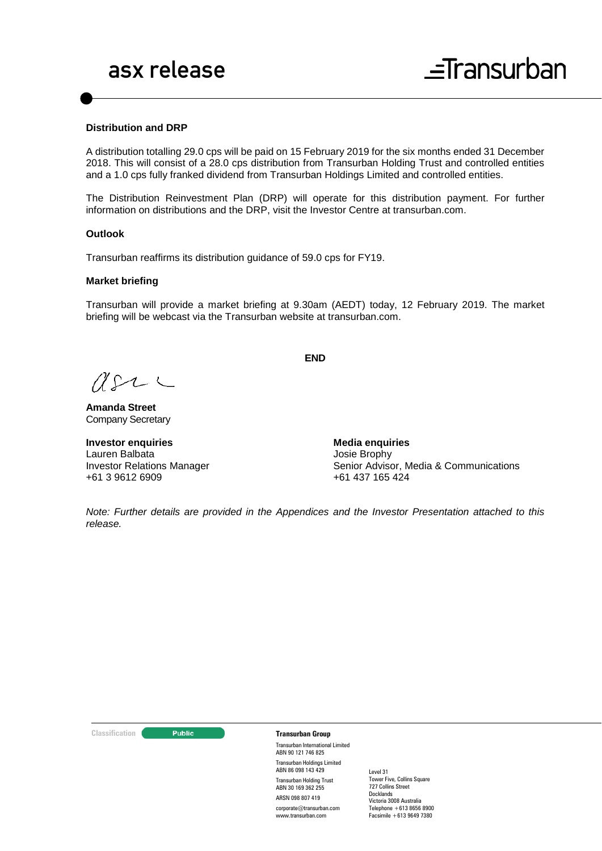#### **Distribution and DRP**

A distribution totalling 29.0 cps will be paid on 15 February 2019 for the six months ended 31 December 2018. This will consist of a 28.0 cps distribution from Transurban Holding Trust and controlled entities and a 1.0 cps fully franked dividend from Transurban Holdings Limited and controlled entities.

The Distribution Reinvestment Plan (DRP) will operate for this distribution payment. For further information on distributions and the DRP, visit the Investor Centre at [transurban.com.](http://www.transurban.com/)

#### **Outlook**

Transurban reaffirms its distribution guidance of 59.0 cps for FY19.

#### **Market briefing**

Transurban will provide a market briefing at 9.30am (AEDT) today, 12 February 2019. The market briefing will be webcast via the Transurban website at transurban.com.

**END**

 $USL \subset$ 

**Amanda Street** Company Secretary

**Investor enquiries** Lauren Balbata Investor Relations Manager +61 3 9612 6909

**Media enquiries** Josie Brophy Senior Advisor, Media & Communications +61 437 165 424

*Note: Further details are provided in the Appendices and the Investor Presentation attached to this release.*

#### **Classification C Transurban Group**

Transurban International Limited ABN 90 121 746 825 Transurban Holdings Limited ABN 86 098 143 429 Transurban Holding Trust ABN 30 169 362 255 ARSN 098 807 419 corporate@transurban.com

www.transurban.com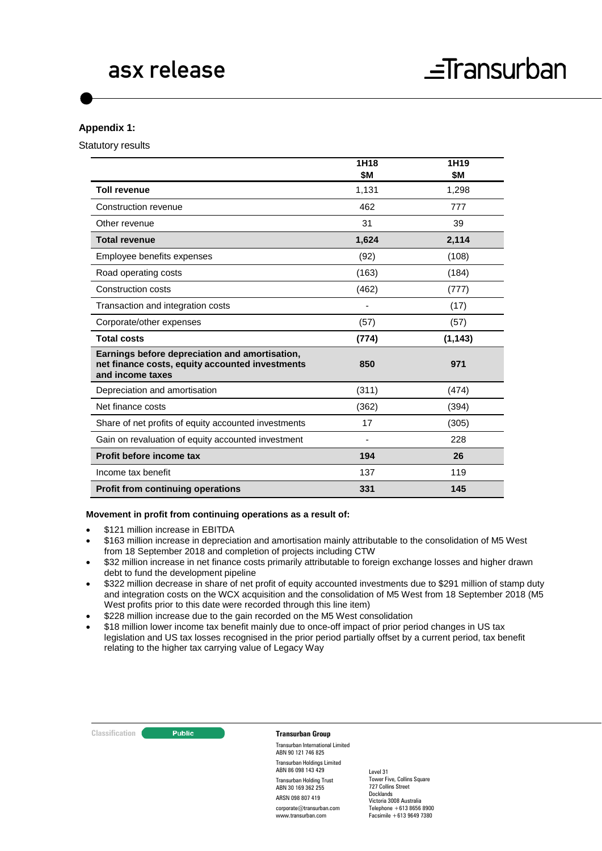#### **Appendix 1:**

Statutory results

|                                                                                                                       | 1H18  | 1H <sub>19</sub> |
|-----------------------------------------------------------------------------------------------------------------------|-------|------------------|
|                                                                                                                       | \$M   | \$M              |
| <b>Toll revenue</b>                                                                                                   | 1,131 | 1,298            |
| Construction revenue                                                                                                  | 462   | 777              |
| Other revenue                                                                                                         | 31    | 39               |
| <b>Total revenue</b>                                                                                                  | 1,624 | 2,114            |
| Employee benefits expenses                                                                                            | (92)  | (108)            |
| Road operating costs                                                                                                  | (163) | (184)            |
| Construction costs                                                                                                    | (462) | (777)            |
| Transaction and integration costs                                                                                     |       | (17)             |
| Corporate/other expenses                                                                                              | (57)  | (57)             |
| <b>Total costs</b>                                                                                                    | (774) | (1, 143)         |
| Earnings before depreciation and amortisation,<br>net finance costs, equity accounted investments<br>and income taxes | 850   | 971              |
| Depreciation and amortisation                                                                                         | (311) | (474)            |
| Net finance costs                                                                                                     | (362) | (394)            |
| Share of net profits of equity accounted investments                                                                  | 17    | (305)            |
| Gain on revaluation of equity accounted investment                                                                    |       | 228              |
| Profit before income tax                                                                                              | 194   | 26               |
| Income tax benefit                                                                                                    | 137   | 119              |
| <b>Profit from continuing operations</b>                                                                              | 331   | 145              |

#### **Movement in profit from continuing operations as a result of:**

- \$121 million increase in EBITDA
- \$163 million increase in depreciation and amortisation mainly attributable to the consolidation of M5 West from 18 September 2018 and completion of projects including CTW
- \$32 million increase in net finance costs primarily attributable to foreign exchange losses and higher drawn debt to fund the development pipeline
- \$322 million decrease in share of net profit of equity accounted investments due to \$291 million of stamp duty and integration costs on the WCX acquisition and the consolidation of M5 West from 18 September 2018 (M5 West profits prior to this date were recorded through this line item)
- \$228 million increase due to the gain recorded on the M5 West consolidation
- \$18 million lower income tax benefit mainly due to once-off impact of prior period changes in US tax legislation and US tax losses recognised in the prior period partially offset by a current period, tax benefit relating to the higher tax carrying value of Legacy Way

| Classification | <b>Public</b> | <b>Transurban Group</b>                                  |                                                         |
|----------------|---------------|----------------------------------------------------------|---------------------------------------------------------|
|                |               | Transurban International Limited<br>ABN 90 121 746 825   |                                                         |
|                |               | <b>Transurban Holdings Limited</b><br>ABN 86 098 143 429 | Level 31                                                |
|                |               | <b>Transurban Holding Trust</b><br>ABN 30 169 362 255    | <b>Tower Five, Collins Square</b><br>727 Collins Street |
|                |               | ARSN 098 807 419                                         | Victoria 3008 Australia                                 |
|                |               | corporate@transurban.com                                 | Telephone $+61386568900$                                |
|                |               | www.transurban.com                                       | Docklands<br>Facsimile $+61396497380$                   |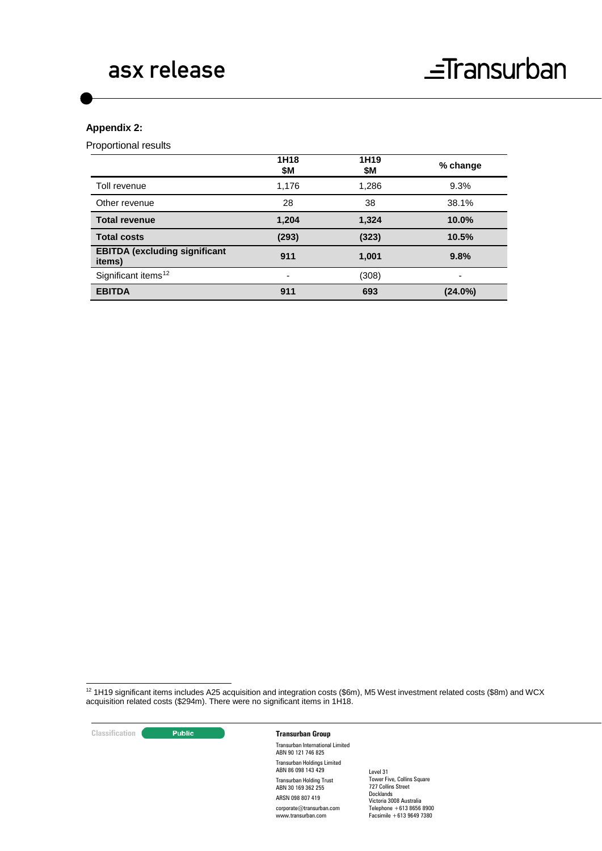### **Appendix 2:**

Proportional results

|                                                | 1H <sub>18</sub><br>\$M  | 1H <sub>19</sub><br>\$M | % change   |
|------------------------------------------------|--------------------------|-------------------------|------------|
| Toll revenue                                   | 1,176                    | 1,286                   | 9.3%       |
| Other revenue                                  | 28                       | 38                      | 38.1%      |
| <b>Total revenue</b>                           | 1,204                    | 1,324                   | 10.0%      |
| <b>Total costs</b>                             | (293)                    | (323)                   | 10.5%      |
| <b>EBITDA (excluding significant</b><br>items) | 911                      | 1,001                   | 9.8%       |
| Significant items <sup>12</sup>                | $\overline{\phantom{0}}$ | (308)                   | -          |
| <b>EBITDA</b>                                  | 911                      | 693                     | $(24.0\%)$ |

<span id="page-5-0"></span> 12 1H19 significant items includes A25 acquisition and integration costs (\$6m), M5 West investment related costs (\$8m) and WCX acquisition related costs (\$294m). There were no significant items in 1H18.

**Classification Construction Transurban Group** Transurban International Limited ABN 90 121 746 825 Transurban Holdings Limited ABN 86 098 143 429 Transurban Holding Trust ABN 30 169 362 255 ARSN 098 807 419 corporate@transurban.com www.transurban.com Level 31 Tower Five, Collins Square 727 Collins Street Docklands Victoria 3008 Australia Telephone +613 8656 8900 Facsimile +613 9649 7380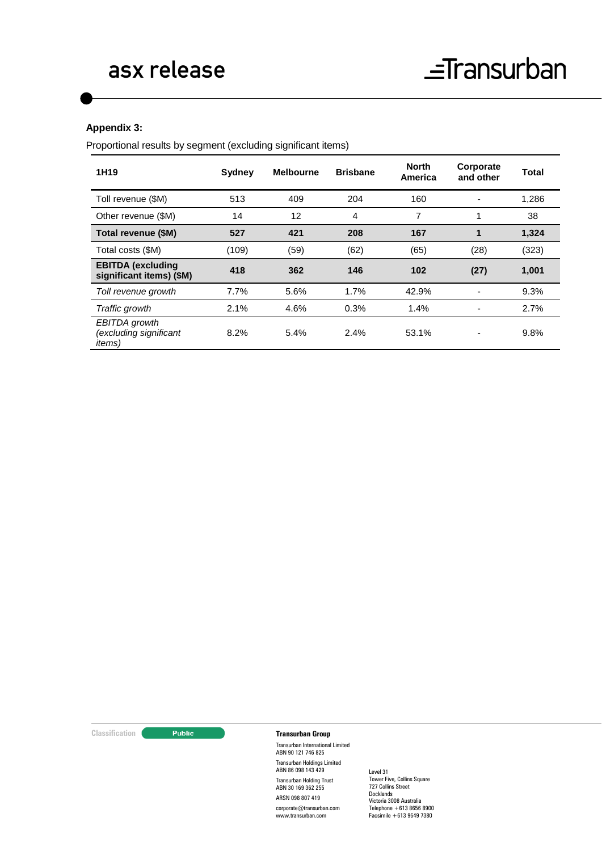#### **Appendix 3:**

Proportional results by segment (excluding significant items)

| 1H <sub>19</sub>                                          | Sydney | <b>Melbourne</b> | <b>Brisbane</b> | <b>North</b><br>America | Corporate<br>and other | <b>Total</b> |
|-----------------------------------------------------------|--------|------------------|-----------------|-------------------------|------------------------|--------------|
| Toll revenue (\$M)                                        | 513    | 409              | 204             | 160                     |                        | 1,286        |
| Other revenue (\$M)                                       | 14     | 12               | 4               | 7                       | 1                      | 38           |
| Total revenue (\$M)                                       | 527    | 421              | 208             | 167                     | 1                      | 1,324        |
| Total costs (\$M)                                         | (109)  | (59)             | (62)            | (65)                    | (28)                   | (323)        |
| <b>EBITDA</b> (excluding<br>significant items) (\$M)      | 418    | 362              | 146             | 102                     | (27)                   | 1,001        |
| Toll revenue growth                                       | 7.7%   | 5.6%             | 1.7%            | 42.9%                   |                        | 9.3%         |
| Traffic growth                                            | 2.1%   | 4.6%             | 0.3%            | 1.4%                    |                        | 2.7%         |
| EBITDA growth<br>(excluding significant<br><i>items</i> ) | 8.2%   | 5.4%             | 2.4%            | 53.1%                   |                        | 9.8%         |

### **Classification C Transurban Group**

Transurban International Limited ABN 90 121 746 825 Transurban Holdings Limited ABN 86 098 143 429 Transurban Holding Trust ABN 30 169 362 255 ARSN 098 807 419

corporate@transurban.com www.transurban.com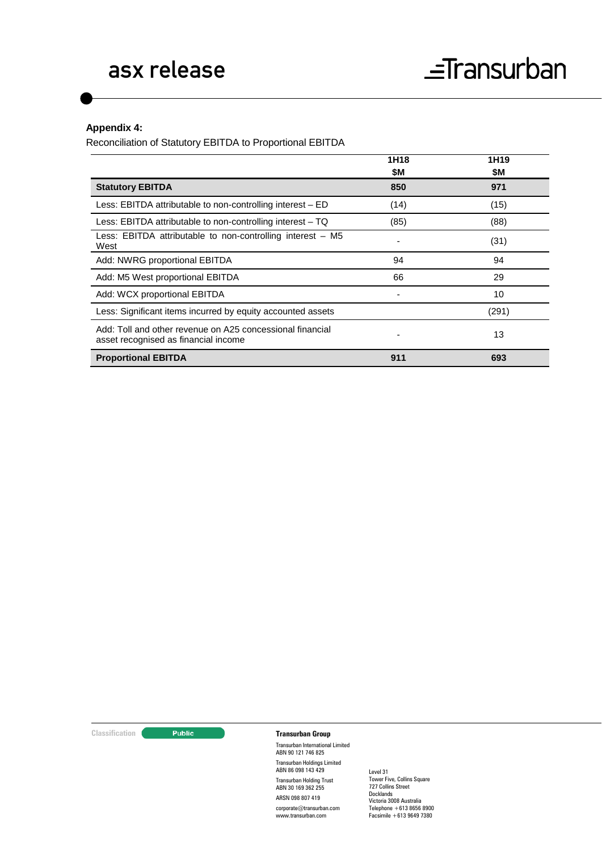#### **Appendix 4:**

Reconciliation of Statutory EBITDA to Proportional EBITDA

|                                                                                                   | 1H18<br>\$M | 1H <sub>19</sub><br>\$M |
|---------------------------------------------------------------------------------------------------|-------------|-------------------------|
| <b>Statutory EBITDA</b>                                                                           | 850         | 971                     |
| Less: EBITDA attributable to non-controlling interest – ED                                        | (14)        | (15)                    |
| Less: EBITDA attributable to non-controlling interest $-$ TQ                                      | (85)        | (88)                    |
| Less: EBITDA attributable to non-controlling interest - M5<br>West                                |             | (31)                    |
| Add: NWRG proportional EBITDA                                                                     | 94          | 94                      |
| Add: M5 West proportional EBITDA                                                                  | 66          | 29                      |
| Add: WCX proportional EBITDA                                                                      |             | 10                      |
| Less: Significant items incurred by equity accounted assets                                       |             | (291)                   |
| Add: Toll and other revenue on A25 concessional financial<br>asset recognised as financial income |             | 13                      |
| <b>Proportional EBITDA</b>                                                                        | 911         | 693                     |

#### **Classification Construction Transurban Group**

Transurban International Limited ABN 90 121 746 825 Transurban Holdings Limited ABN 86 098 143 429 Transurban Holding Trust ABN 30 169 362 255 ARSN 098 807 419

corporate@transurban.com www.transurban.com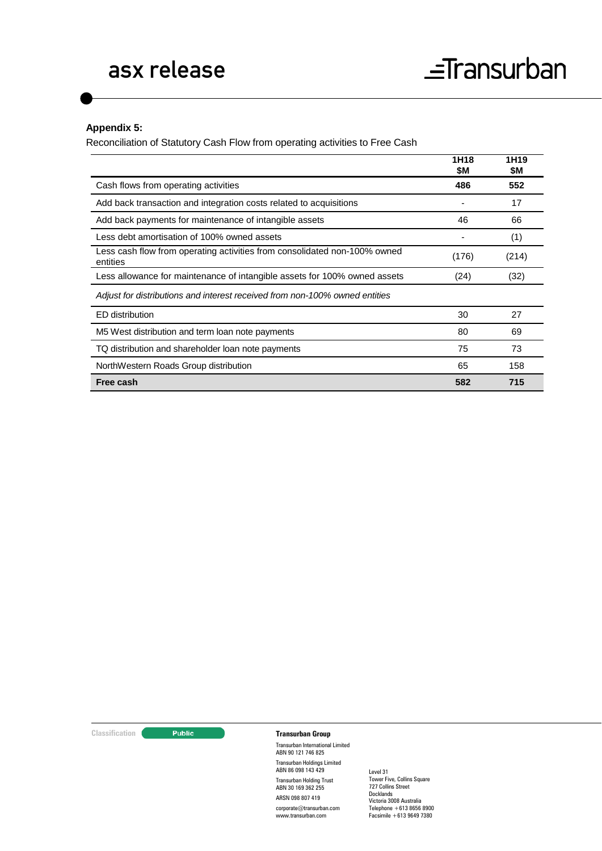#### **Appendix 5:**

Reconciliation of Statutory Cash Flow from operating activities to Free Cash

|                                                                                       | 1H18<br>\$M | 1H19<br>\$M |
|---------------------------------------------------------------------------------------|-------------|-------------|
| Cash flows from operating activities                                                  | 486         | 552         |
| Add back transaction and integration costs related to acquisitions                    |             | 17          |
| Add back payments for maintenance of intangible assets                                | 46          | 66          |
| Less debt amortisation of 100% owned assets                                           |             | (1)         |
| Less cash flow from operating activities from consolidated non-100% owned<br>entities | (176)       | (214)       |
| Less allowance for maintenance of intangible assets for 100% owned assets             | (24)        | (32)        |
| Adjust for distributions and interest received from non-100% owned entities           |             |             |
| ED distribution                                                                       | 30          | 27          |
| M5 West distribution and term loan note payments                                      | 80          | 69          |
| TQ distribution and shareholder loan note payments                                    | 75          | 73          |
| NorthWestern Roads Group distribution                                                 | 65          | 158         |
| Free cash                                                                             | 582         | 715         |

#### **Classification Construction Transurban Group**

Transurban International Limited ABN 90 121 746 825 Transurban Holdings Limited ABN 86 098 143 429 Transurban Holding Trust ABN 30 169 362 255 ARSN 098 807 419

corporate@transurban.com www.transurban.com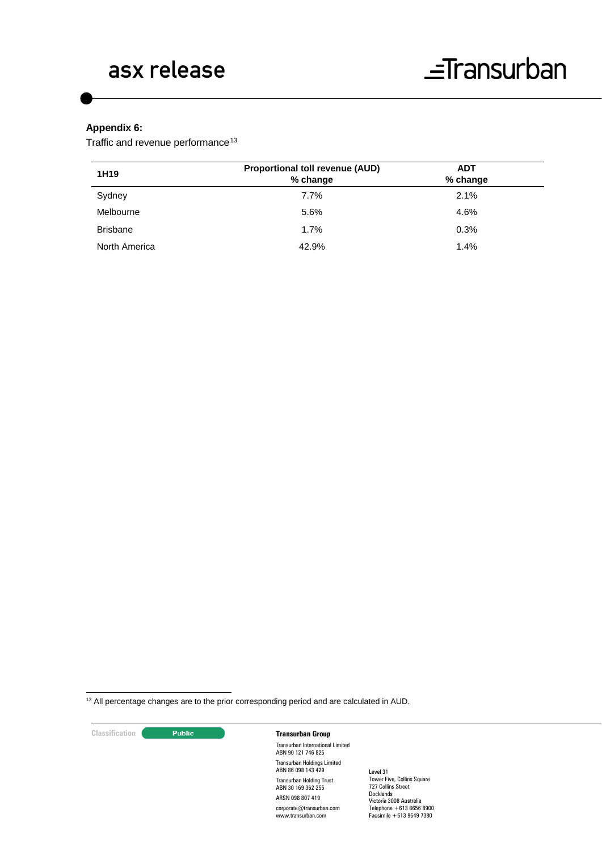### **Appendix 6:**

Traffic and revenue performance<sup>[13](#page-9-0)</sup>

| 1H <sub>19</sub> | <b>Proportional toll revenue (AUD)</b><br>% change | <b>ADT</b><br>% change |  |
|------------------|----------------------------------------------------|------------------------|--|
| Sydney           | 7.7%                                               | 2.1%                   |  |
| Melbourne        | 5.6%                                               | 4.6%                   |  |
| <b>Brisbane</b>  | 1.7%                                               | 0.3%                   |  |
| North America    | 42.9%                                              | 1.4%                   |  |

<span id="page-9-0"></span>13 All percentage changes are to the prior corresponding period and are calculated in AUD.

| Classification |  |  |  |
|----------------|--|--|--|
|                |  |  |  |

#### **Classification Transurban Group**

Transurban International Limited ABN 90 121 746 825 Transurban Holdings Limited ABN 86 098 143 429 Transurban Holding Trust ABN 30 169 362 255 ARSN 098 807 419 corporate@transurban.com www.transurban.com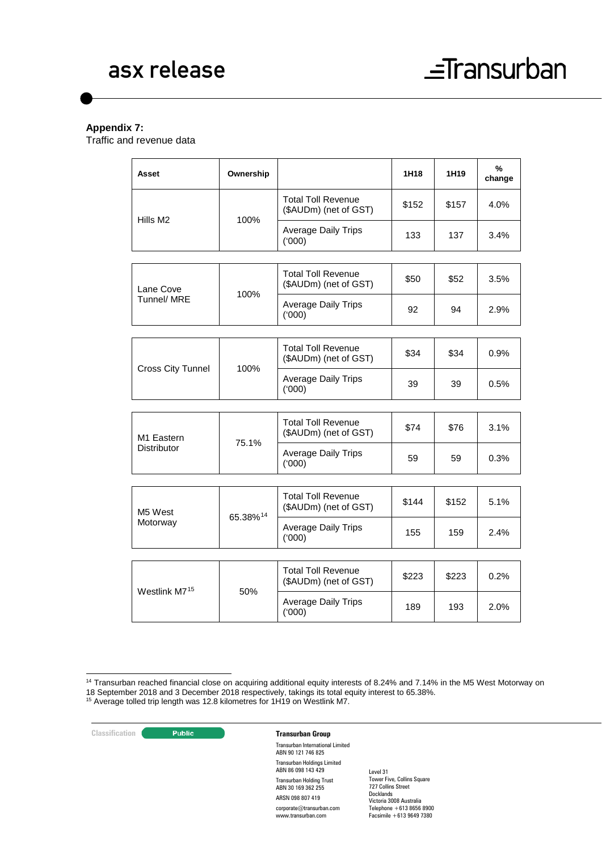#### **Appendix 7:**

Traffic and revenue data

| Asset                            | Ownership |                                                    | 1H18  | 1H19  | %<br>change |
|----------------------------------|-----------|----------------------------------------------------|-------|-------|-------------|
|                                  |           | <b>Total Toll Revenue</b><br>(\$AUDm) (net of GST) | \$152 | \$157 | 4.0%        |
| Hills M <sub>2</sub>             | 100%      | <b>Average Daily Trips</b><br>(000)                | 133   | 137   | 3.4%        |
|                                  |           |                                                    |       |       |             |
| Lane Cove                        | 100%      | <b>Total Toll Revenue</b><br>(\$AUDm) (net of GST) | \$50  | \$52  | 3.5%        |
| Tunnel/ MRE                      |           | <b>Average Daily Trips</b><br>(000)                | 92    | 94    | 2.9%        |
|                                  |           |                                                    |       |       |             |
| Cross City Tunnel                | 100%      | <b>Total Toll Revenue</b><br>(\$AUDm) (net of GST) | \$34  | \$34  | 0.9%        |
|                                  |           | <b>Average Daily Trips</b><br>(000)                | 39    | 39    | 0.5%        |
|                                  |           |                                                    |       |       |             |
| M1 Eastern<br><b>Distributor</b> | 75.1%     | <b>Total Toll Revenue</b><br>(\$AUDm) (net of GST) | \$74  | \$76  | 3.1%        |
|                                  |           | <b>Average Daily Trips</b><br>(000)                | 59    | 59    | 0.3%        |
|                                  |           |                                                    |       |       |             |
| M5 West<br>Motorway              | 65.38%14  | <b>Total Toll Revenue</b><br>(\$AUDm) (net of GST) | \$144 | \$152 | 5.1%        |
|                                  |           | <b>Average Daily Trips</b><br>(000)                | 155   | 159   | 2.4%        |
|                                  |           |                                                    |       |       |             |
|                                  |           | <b>Total Toll Revenue</b><br>(\$AUDm) (net of GST) | \$223 | \$223 | 0.2%        |
| Westlink M715                    | 50%       | <b>Average Daily Trips</b><br>(000)                | 189   | 193   | 2.0%        |

<span id="page-10-1"></span>

**Classification Transurban Group** 

Transurban International Limited ABN 90 121 746 825 Transurban Holdings Limited ABN 86 098 143 429 Transurban Holding Trust ABN 30 169 362 255 ARSN 098 807 419 corporate@transurban.com www.transurban.com

<span id="page-10-0"></span> <sup>14</sup> Transurban reached financial close on acquiring additional equity interests of 8.24% and 7.14% in the M5 West Motorway on 18 September 2018 and 3 December 2018 respectively, takings its total equity interest to 65.38%. <sup>15</sup> Average tolled trip length was 12.8 kilometres for 1H19 on Westlink M7.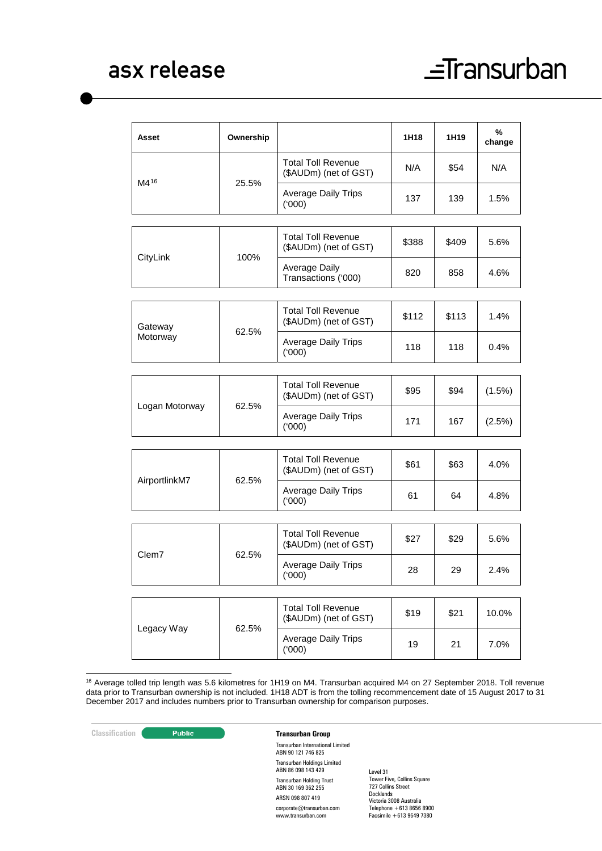| Asset          | Ownership |                                                    | 1H18  | 1H19  | %<br>change |
|----------------|-----------|----------------------------------------------------|-------|-------|-------------|
|                |           | <b>Total Toll Revenue</b><br>(\$AUDm) (net of GST) | N/A   | \$54  | N/A         |
| M416           | 25.5%     | <b>Average Daily Trips</b><br>(000)                | 137   | 139   | 1.5%        |
|                |           |                                                    |       |       |             |
|                | 100%      | <b>Total Toll Revenue</b><br>(\$AUDm) (net of GST) | \$388 | \$409 | 5.6%        |
| CityLink       |           | <b>Average Daily</b><br>Transactions ('000)        | 820   | 858   | 4.6%        |
|                |           |                                                    |       |       |             |
| Gateway        |           | <b>Total Toll Revenue</b><br>(\$AUDm) (net of GST) | \$112 | \$113 | 1.4%        |
| Motorway       | 62.5%     | <b>Average Daily Trips</b><br>(000)                | 118   | 118   | 0.4%        |
|                |           |                                                    |       |       |             |
|                | 62.5%     | <b>Total Toll Revenue</b><br>(\$AUDm) (net of GST) | \$95  | \$94  | (1.5%)      |
| Logan Motorway |           | <b>Average Daily Trips</b><br>(000)                | 171   | 167   | (2.5%)      |
|                |           |                                                    |       |       |             |
|                | 62.5%     | <b>Total Toll Revenue</b><br>(\$AUDm) (net of GST) | \$61  | \$63  | 4.0%        |
| AirportlinkM7  |           | <b>Average Daily Trips</b><br>(000)                | 61    | 64    | 4.8%        |
|                |           |                                                    |       |       |             |
|                |           | <b>Total Toll Revenue</b><br>(\$AUDm) (net of GST) | \$27  | \$29  | 5.6%        |
| Clem7          | 62.5%     | <b>Average Daily Trips</b><br>(000)                | 28    | 29    | 2.4%        |
|                |           |                                                    |       |       |             |
|                |           | <b>Total Toll Revenue</b><br>(\$AUDm) (net of GST) | \$19  | \$21  | 10.0%       |
| Legacy Way     | 62.5%     | <b>Average Daily Trips</b><br>(000)                | 19    | 21    | 7.0%        |
|                |           |                                                    |       |       |             |

<span id="page-11-0"></span> 16 Average tolled trip length was 5.6 kilometres for 1H19 on M4. Transurban acquired M4 on 27 September 2018. Toll revenue data prior to Transurban ownership is not included. 1H18 ADT is from the tolling recommencement date of 15 August 2017 to 31 December 2017 and includes numbers prior to Transurban ownership for comparison purposes.

#### **Classification Transurban Group**

Transurban International Limited ABN 90 121 746 825 Transurban Holdings Limited ABN 86 098 143 429 Transurban Holding Trust ABN 30 169 362 255 ARSN 098 807 419

corporate@transurban.com www.transurban.com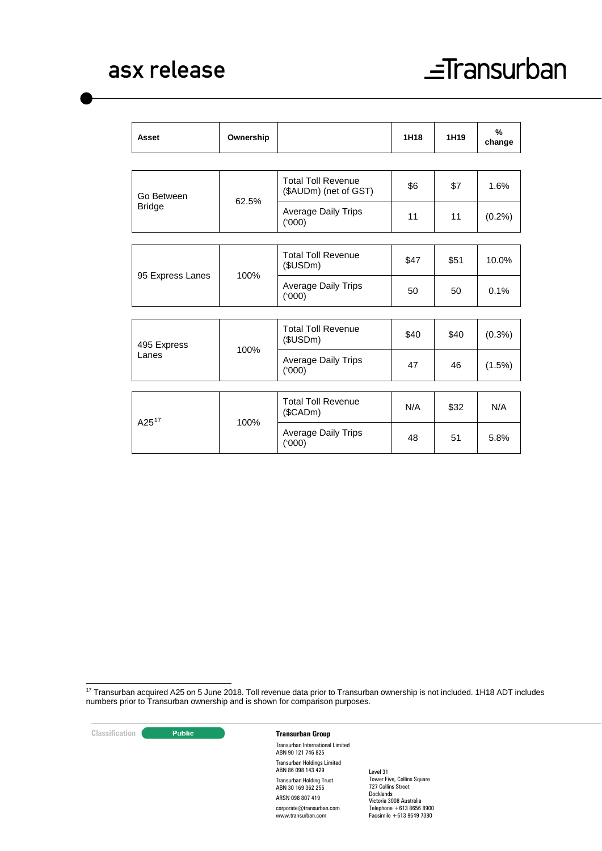| Asset                | Ownership |                                                    | 1H18 | 1H <sub>19</sub> | $\frac{9}{6}$<br>change |
|----------------------|-----------|----------------------------------------------------|------|------------------|-------------------------|
|                      |           |                                                    |      |                  |                         |
| Go Between           | 62.5%     | <b>Total Toll Revenue</b><br>(\$AUDm) (net of GST) | \$6  | \$7              | 1.6%                    |
| <b>Bridge</b>        |           | Average Daily Trips<br>(000)                       | 11   | 11               | (0.2%)                  |
|                      |           |                                                    |      |                  |                         |
| 95 Express Lanes     | 100%      | <b>Total Toll Revenue</b><br>(\$USDm)              | \$47 | \$51             | 10.0%                   |
|                      |           | <b>Average Daily Trips</b><br>(000)                | 50   | 50               | 0.1%                    |
|                      |           |                                                    |      |                  |                         |
| 495 Express<br>Lanes | 100%      | <b>Total Toll Revenue</b><br>(\$USDm)              | \$40 | \$40             | (0.3%)                  |
|                      |           | <b>Average Daily Trips</b><br>(000)                | 47   | 46               | (1.5%)                  |
|                      |           |                                                    |      |                  |                         |
| $A25^{17}$           | 100%      | <b>Total Toll Revenue</b><br>$(\$CADm)$            | N/A  | \$32             | N/A                     |
|                      |           | <b>Average Daily Trips</b><br>(000)                | 48   | 51               | 5.8%                    |

<span id="page-12-0"></span><sup>17</sup> Transurban acquired A25 on 5 June 2018. Toll revenue data prior to Transurban ownership is not included. 1H18 ADT includes numbers prior to Transurban ownership and is shown for comparison purposes.

**Classification Construction Transurban Group** 

Transurban International Limited ABN 90 121 746 825 Transurban Holdings Limited ABN 86 098 143 429 Transurban Holding Trust ABN 30 169 362 255 ARSN 098 807 419 corporate@transurban.com www.transurban.com